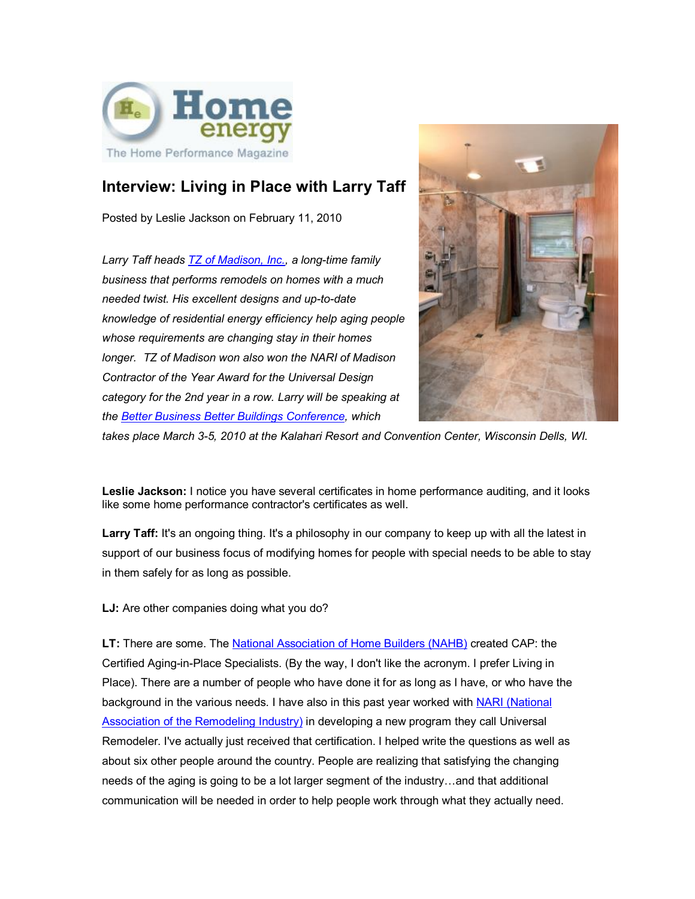

## **Interview: Living in Place with Larry Taff**

Posted by Leslie Jackson on February 11, 2010

*Larry Taff heads TZ of Madison, Inc., a long-time family business that performs remodels on homes with a much needed twist. His excellent designs and up-to-date knowledge of residential energy efficiency help aging people whose requirements are changing stay in their homes longer. TZ of Madison won also won the NARI of Madison Contractor of the Year Award for the Universal Design category for the 2nd year in a row. Larry will be speaking at the Better Business Better Buildings Conference, which*



*takes place March 3-5, 2010 at the Kalahari Resort and Convention Center, Wisconsin Dells, WI.*

**Leslie Jackson:** I notice you have several certificates in home performance auditing, and it looks like some home performance contractor's certificates as well.

Larry Taff: It's an ongoing thing. It's a philosophy in our company to keep up with all the latest in support of our business focus of modifying homes for people with special needs to be able to stay in them safely for as long as possible.

LJ: Are other companies doing what you do?

LT: There are some. The National Association of Home Builders (NAHB) created CAP: the Certified Aging-in-Place Specialists. (By the way, I don't like the acronym. I prefer Living in Place). There are a number of people who have done it for as long as I have, or who have the background in the various needs. I have also in this past year worked with NARI (National Association of the Remodeling Industry) in developing a new program they call Universal Remodeler. I've actually just received that certification. I helped write the questions as well as about six other people around the country. People are realizing that satisfying the changing needs of the aging is going to be a lot larger segment of the industry…and that additional communication will be needed in order to help people work through what they actually need.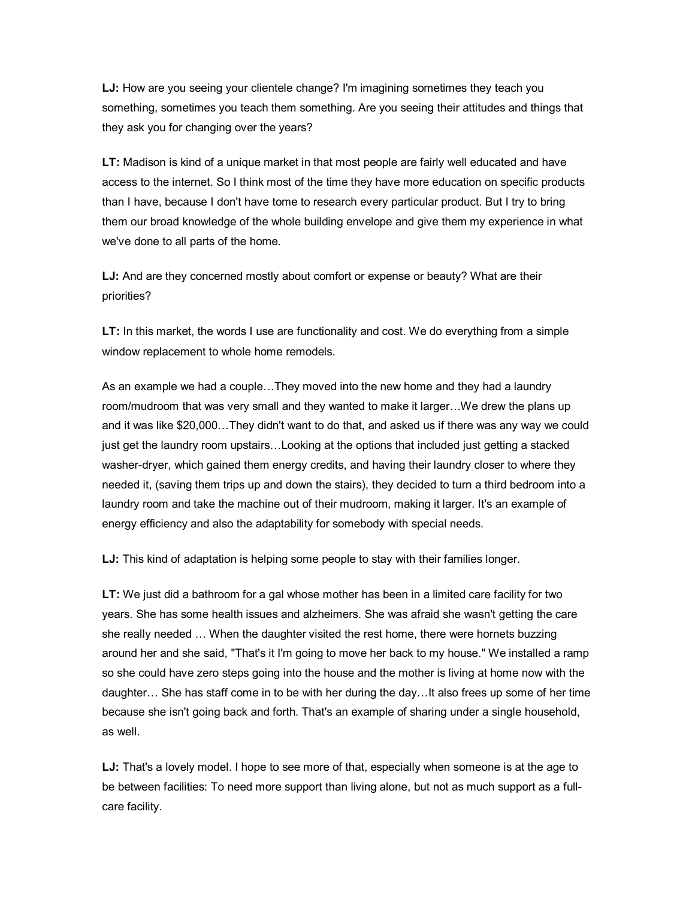**LJ:** How are you seeing your clientele change? I'm imagining sometimes they teach you something, sometimes you teach them something. Are you seeing their attitudes and things that they ask you for changing over the years?

**LT:** Madison is kind of a unique market in that most people are fairly well educated and have access to the internet. So I think most of the time they have more education on specific products than I have, because I don't have tome to research every particular product. But I try to bring them our broad knowledge of the whole building envelope and give them my experience in what we've done to all parts of the home.

**LJ:** And are they concerned mostly about comfort or expense or beauty? What are their priorities?

**LT:** In this market, the words I use are functionality and cost. We do everything from a simple window replacement to whole home remodels.

As an example we had a couple…They moved into the new home and they had a laundry room/mudroom that was very small and they wanted to make it larger…We drew the plans up and it was like \$20,000…They didn't want to do that, and asked us if there was any way we could just get the laundry room upstairs…Looking at the options that included just getting a stacked washer-dryer, which gained them energy credits, and having their laundry closer to where they needed it, (saving them trips up and down the stairs), they decided to turn a third bedroom into a laundry room and take the machine out of their mudroom, making it larger. It's an example of energy efficiency and also the adaptability for somebody with special needs.

**LJ:** This kind of adaptation is helping some people to stay with their families longer.

**LT:** We just did a bathroom for a gal whose mother has been in a limited care facility for two years. She has some health issues and alzheimers. She was afraid she wasn't getting the care she really needed … When the daughter visited the rest home, there were hornets buzzing around her and she said, "That's it I'm going to move her back to my house." We installed a ramp so she could have zero steps going into the house and the mother is living at home now with the daughter… She has staff come in to be with her during the day…It also frees up some of her time because she isn't going back and forth. That's an example of sharing under a single household, as well.

**LJ:** That's a lovely model. I hope to see more of that, especially when someone is at the age to be between facilities: To need more support than living alone, but not as much support as a fullcare facility.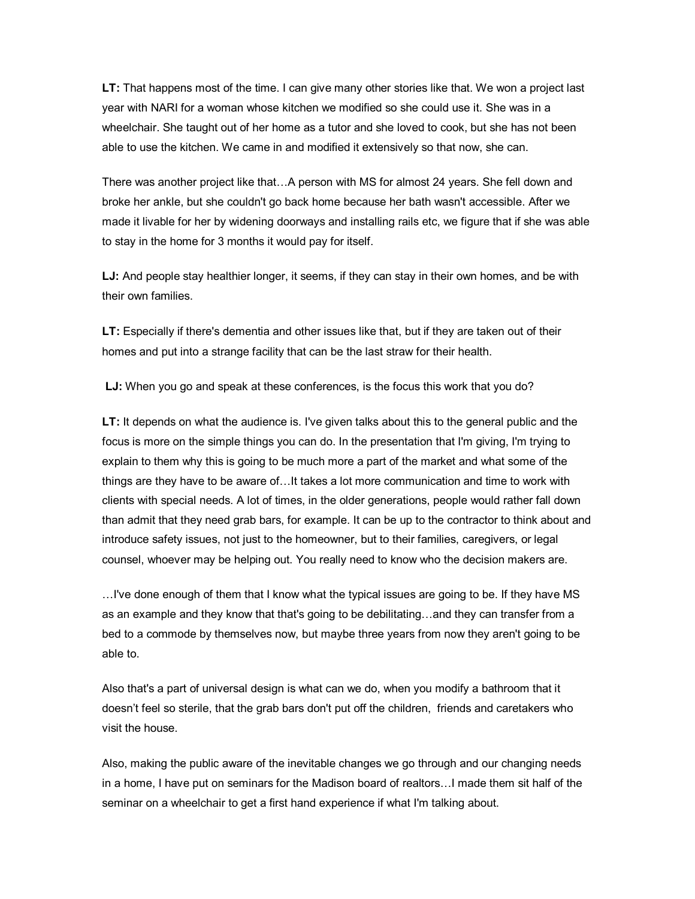**LT:** That happens most of the time. I can give many other stories like that. We won a project last year with NARI for a woman whose kitchen we modified so she could use it. She was in a wheelchair. She taught out of her home as a tutor and she loved to cook, but she has not been able to use the kitchen. We came in and modified it extensively so that now, she can.

There was another project like that…A person with MS for almost 24 years. She fell down and broke her ankle, but she couldn't go back home because her bath wasn't accessible. After we made it livable for her by widening doorways and installing rails etc, we figure that if she was able to stay in the home for 3 months it would pay for itself.

**LJ:** And people stay healthier longer, it seems, if they can stay in their own homes, and be with their own families.

**LT:** Especially if there's dementia and other issues like that, but if they are taken out of their homes and put into a strange facility that can be the last straw for their health.

LJ: When you go and speak at these conferences, is the focus this work that you do?

**LT:** It depends on what the audience is. I've given talks about this to the general public and the focus is more on the simple things you can do. In the presentation that I'm giving, I'm trying to explain to them why this is going to be much more a part of the market and what some of the things are they have to be aware of…It takes a lot more communication and time to work with clients with special needs. A lot of times, in the older generations, people would rather fall down than admit that they need grab bars, for example. It can be up to the contractor to think about and introduce safety issues, not just to the homeowner, but to their families, caregivers, or legal counsel, whoever may be helping out. You really need to know who the decision makers are.

…I've done enough of them that I know what the typical issues are going to be. If they have MS as an example and they know that that's going to be debilitating…and they can transfer from a bed to a commode by themselves now, but maybe three years from now they aren't going to be able to.

Also that's a part of universal design is what can we do, when you modify a bathroom that it doesn't feel so sterile, that the grab bars don't put off the children, friends and caretakers who visit the house.

Also, making the public aware of the inevitable changes we go through and our changing needs in a home, I have put on seminars for the Madison board of realtors…I made them sit half of the seminar on a wheelchair to get a first hand experience if what I'm talking about.